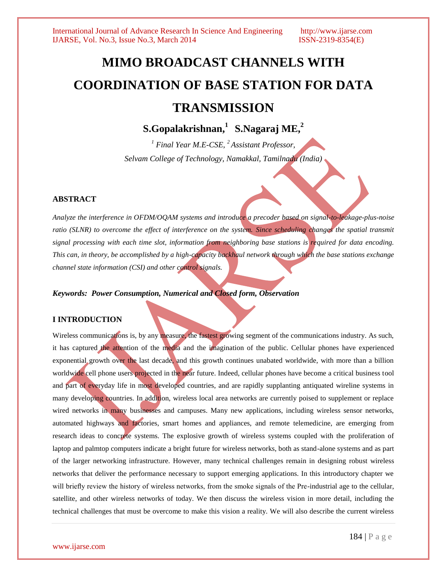# **MIMO BROADCAST CHANNELS WITH COORDINATION OF BASE STATION FOR DATA TRANSMISSION**

 ${\bf S}.$ Gopalakrishnan, $^1$   ${\bf S}.$ Nagaraj  ${\bf ME},^2$ 

*<sup>1</sup> Final Year M.E-CSE, <sup>2</sup>Assistant Professor, Selvam College of Technology, Namakkal, Tamilnadu (India)*

#### **ABSTRACT**

*Analyze the interference in OFDM/OQAM systems and introduce a precoder based on signal-to-leakage-plus-noise ratio (SLNR) to overcome the effect of interference on the system. Since scheduling changes the spatial transmit signal processing with each time slot, information from neighboring base stations is required for data encoding. This can, in theory, be accomplished by a high-capacity backhaul network through which the base stations exchange channel state information (CSI) and other control signals.*

*Keywords: Power Consumption, Numerical and Closed form, Observation*

#### **I INTRODUCTION**

Wireless communications is, by any measure, the fastest growing segment of the communications industry. As such, it has captured the attention of the media and the imagination of the public. Cellular phones have experienced exponential growth over the last decade, and this growth continues unabated worldwide, with more than a billion worldwide cell phone users projected in the near future. Indeed, cellular phones have become a critical business tool and part of everyday life in most developed countries, and are rapidly supplanting antiquated wireline systems in many developing countries. In addition, wireless local area networks are currently poised to supplement or replace wired networks in many businesses and campuses. Many new applications, including wireless sensor networks, automated highways and factories, smart homes and appliances, and remote telemedicine, are emerging from research ideas to concrete systems. The explosive growth of wireless systems coupled with the proliferation of laptop and palmtop computers indicate a bright future for wireless networks, both as stand-alone systems and as part of the larger networking infrastructure. However, many technical challenges remain in designing robust wireless networks that deliver the performance necessary to support emerging applications. In this introductory chapter we will briefly review the history of wireless networks, from the smoke signals of the Pre-industrial age to the cellular, satellite, and other wireless networks of today. We then discuss the wireless vision in more detail, including the technical challenges that must be overcome to make this vision a reality. We will also describe the current wireless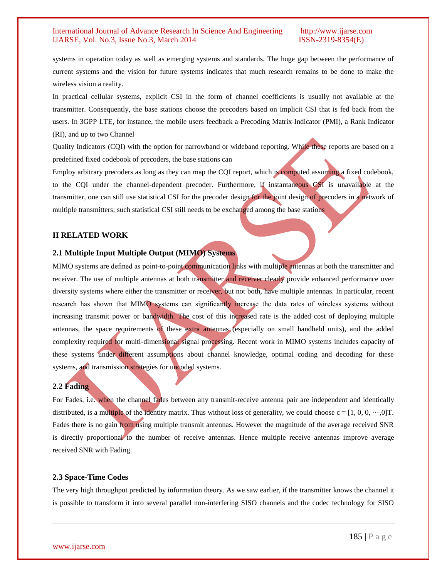systems in operation today as well as emerging systems and standards. The huge gap between the performance of current systems and the vision for future systems indicates that much research remains to be done to make the wireless vision a reality.

In practical cellular systems, explicit CSI in the form of channel coefficients is usually not available at the transmitter. Consequently, the base stations choose the precoders based on implicit CSI that is fed back from the users. In 3GPP LTE, for instance, the mobile users feedback a Precoding Matrix Indicator (PMI), a Rank Indicator (RI), and up to two Channel

Quality Indicators (CQI) with the option for narrowband or wideband reporting. While these reports are based on a predefined fixed codebook of precoders, the base stations can

Employ arbitrary precoders as long as they can map the CQI report, which is computed assuming a fixed codebook, to the CQI under the channel-dependent precoder. Furthermore, if instantaneous CSI is unavailable at the transmitter, one can still use statistical CSI for the precoder design for the joint design of precoders in a network of multiple transmitters; such statistical CSI still needs to be exchanged among the base stations

#### **II RELATED WORK**

#### **2.1 Multiple Input Multiple Output (MIMO) Systems**

MIMO systems are defined as point-to-point communication links with multiple antennas at both the transmitter and receiver. The use of multiple antennas at both transmitter and receiver clearly provide enhanced performance over diversity systems where either the transmitter or receiver, but not both, have multiple antennas. In particular, recent research has shown that MIMO systems can significantly increase the data rates of wireless systems without increasing transmit power or bandwidth. The cost of this increased rate is the added cost of deploying multiple antennas, the space requirements of these extra antennas (especially on small handheld units), and the added complexity required for multi-dimensional signal processing. Recent work in MIMO systems includes capacity of these systems under different assumptions about channel knowledge, optimal coding and decoding for these systems, and transmission strategies for uncoded systems.

### **2.2 Fading**

For Fades, i.e. when the channel fades between any transmit-receive antenna pair are independent and identically distributed, is a multiple of the identity matrix. Thus without loss of generality, we could choose  $c = [1, 0, 0, \dots, 0]$ T. Fades there is no gain from using multiple transmit antennas. However the magnitude of the average received SNR is directly proportional to the number of receive antennas. Hence multiple receive antennas improve average received SNR with Fading.

### **2.3 Space-Time Codes**

The very high throughput predicted by information theory. As we saw earlier, if the transmitter knows the channel it is possible to transform it into several parallel non-interfering SISO channels and the codec technology for SISO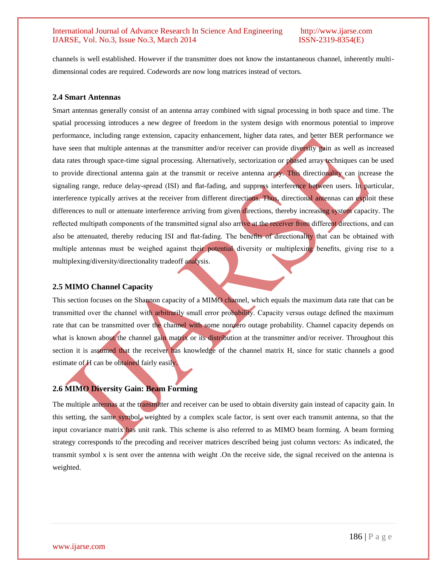channels is well established. However if the transmitter does not know the instantaneous channel, inherently multidimensional codes are required. Codewords are now long matrices instead of vectors.

#### **2.4 Smart Antennas**

Smart antennas generally consist of an antenna array combined with signal processing in both space and time. The spatial processing introduces a new degree of freedom in the system design with enormous potential to improve performance, including range extension, capacity enhancement, higher data rates, and better BER performance we have seen that multiple antennas at the transmitter and/or receiver can provide diversity gain as well as increased data rates through space-time signal processing. Alternatively, sectorization or phased array techniques can be used to provide directional antenna gain at the transmit or receive antenna array. This directionality can increase the signaling range, reduce delay-spread (ISI) and flat-fading, and suppress interference between users. In particular, interference typically arrives at the receiver from different directions. Thus, directional antennas can exploit these differences to null or attenuate interference arriving from given directions, thereby increasing system capacity. The reflected multipath components of the transmitted signal also arrive at the receiver from different directions, and can also be attenuated, thereby reducing ISI and flat-fading. The benefits of directionality that can be obtained with multiple antennas must be weighed against their potential diversity or multiplexing benefits, giving rise to a multiplexing/diversity/directionality tradeoff analysis.

#### **2.5 MIMO Channel Capacity**

This section focuses on the Shannon capacity of a MIMO channel, which equals the maximum data rate that can be transmitted over the channel with arbitrarily small error probability. Capacity versus outage defined the maximum rate that can be transmitted over the channel with some nonzero outage probability. Channel capacity depends on what is known about the channel gain matrix or its distribution at the transmitter and/or receiver. Throughout this section it is assumed that the receiver has knowledge of the channel matrix H, since for static channels a good estimate of H can be obtained fairly easily.

## **2.6 MIMO Diversity Gain: Beam Forming**

The multiple antennas at the transmitter and receiver can be used to obtain diversity gain instead of capacity gain. In this setting, the same symbol, weighted by a complex scale factor, is sent over each transmit antenna, so that the input covariance matrix has unit rank. This scheme is also referred to as MIMO beam forming. A beam forming strategy corresponds to the precoding and receiver matrices described being just column vectors: As indicated, the transmit symbol x is sent over the antenna with weight .On the receive side, the signal received on the antenna is weighted.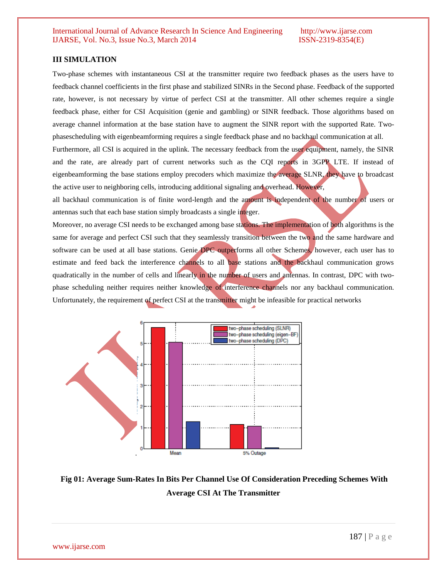#### **III SIMULATION**

Two-phase schemes with instantaneous CSI at the transmitter require two feedback phases as the users have to feedback channel coefficients in the first phase and stabilized SINRs in the Second phase. Feedback of the supported rate, however, is not necessary by virtue of perfect CSI at the transmitter. All other schemes require a single feedback phase, either for CSI Acquisition (genie and gambling) or SINR feedback. Those algorithms based on average channel information at the base station have to augment the SINR report with the supported Rate. Twophasescheduling with eigenbeamforming requires a single feedback phase and no backhaul communication at all.

Furthermore, all CSI is acquired in the uplink. The necessary feedback from the user equipment, namely, the SINR and the rate, are already part of current networks such as the CQI reports in 3GPP LTE. If instead of eigenbeamforming the base stations employ precoders which maximize the average SLNR, they have to broadcast the active user to neighboring cells, introducing additional signaling and overhead. However,

all backhaul communication is of finite word-length and the amount is independent of the number of users or antennas such that each base station simply broadcasts a single integer.

Moreover, no average CSI needs to be exchanged among base stations. The implementation of both algorithms is the same for average and perfect CSI such that they seamlessly transition between the two and the same hardware and software can be used at all base stations. Genie DPC outperforms all other Schemes, however, each user has to estimate and feed back the interference channels to all base stations and the backhaul communication grows quadratically in the number of cells and linearly in the number of users and antennas. In contrast, DPC with twophase scheduling neither requires neither knowledge of interference channels nor any backhaul communication. Unfortunately, the requirement of perfect CSI at the transmitter might be infeasible for practical networks



# **Fig 01: Average Sum-Rates In Bits Per Channel Use Of Consideration Preceding Schemes With Average CSI At The Transmitter**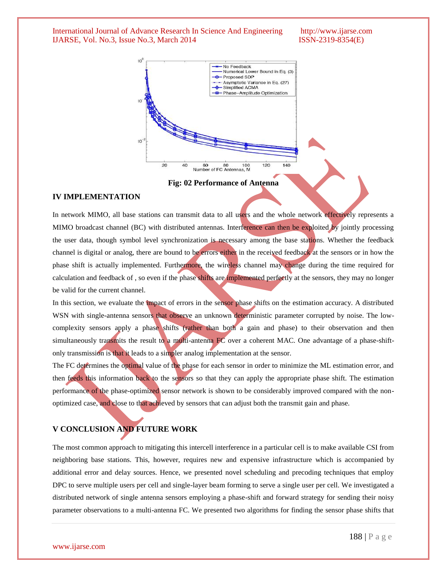

**Fig: 02 Performance of Antenna**

#### **IV IMPLEMENTATION**

In network MIMO, all base stations can transmit data to all users and the whole network effectively represents a MIMO broadcast channel (BC) with distributed antennas. Interference can then be exploited by jointly processing the user data, though symbol level synchronization is necessary among the base stations. Whether the feedback channel is digital or analog, there are bound to be errors either in the received feedback at the sensors or in how the phase shift is actually implemented. Furthermore, the wireless channel may change during the time required for calculation and feedback of , so even if the phase shifts are implemented perfectly at the sensors, they may no longer be valid for the current channel.

In this section, we evaluate the impact of errors in the sensor phase shifts on the estimation accuracy. A distributed WSN with single-antenna sensors that observe an unknown deterministic parameter corrupted by noise. The lowcomplexity sensors apply a phase shifts (rather than both a gain and phase) to their observation and then simultaneously transmits the result to a multi-antenna FC over a coherent MAC. One advantage of a phase-shiftonly transmission is that it leads to a simpler analog implementation at the sensor.

The FC determines the optimal value of the phase for each sensor in order to minimize the ML estimation error, and then feeds this information back to the sensors so that they can apply the appropriate phase shift. The estimation performance of the phase-optimized sensor network is shown to be considerably improved compared with the nonoptimized case, and close to that achieved by sensors that can adjust both the transmit gain and phase.

### **V CONCLUSION AND FUTURE WORK**

The most common approach to mitigating this intercell interference in a particular cell is to make available CSI from neighboring base stations. This, however, requires new and expensive infrastructure which is accompanied by additional error and delay sources. Hence, we presented novel scheduling and precoding techniques that employ DPC to serve multiple users per cell and single-layer beam forming to serve a single user per cell. We investigated a distributed network of single antenna sensors employing a phase-shift and forward strategy for sending their noisy parameter observations to a multi-antenna FC. We presented two algorithms for finding the sensor phase shifts that